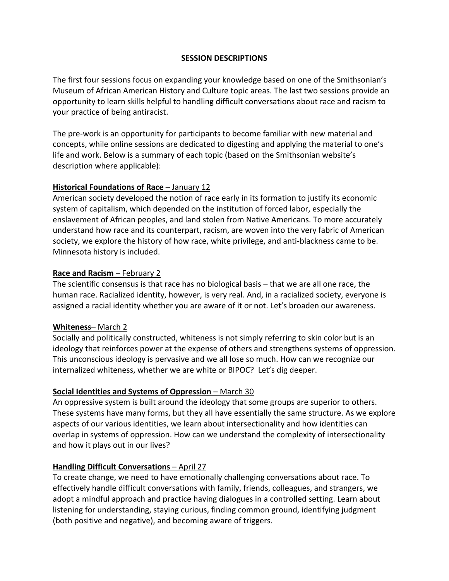### **SESSION DESCRIPTIONS**

The first four sessions focus on expanding your knowledge based on one of the Smithsonian's Museum of African American History and Culture topic areas. The last two sessions provide an opportunity to learn skills helpful to handling difficult conversations about race and racism to your practice of being antiracist.

The pre-work is an opportunity for participants to become familiar with new material and concepts, while online sessions are dedicated to digesting and applying the material to one's life and work. Below is a summary of each topic (based on the Smithsonian website's description where applicable):

#### **Historical Foundations of Race** – January 12

American society developed the notion of race early in its formation to justify its economic system of capitalism, which depended on the institution of forced labor, especially the enslavement of African peoples, and land stolen from Native Americans. To more accurately understand how race and its counterpart, racism, are woven into the very fabric of American society, we explore the history of how race, white privilege, and anti-blackness came to be. Minnesota history is included.

### **Race and Racism** – February 2

The scientific consensus is that race has no biological basis – that we are all one race, the human race. Racialized identity, however, is very real. And, in a racialized society, everyone is assigned a racial identity whether you are aware of it or not. Let's broaden our awareness.

#### **Whiteness**– March 2

Socially and politically constructed, whiteness is not simply referring to skin color but is an ideology that reinforces power at the expense of others and strengthens systems of oppression. This unconscious ideology is pervasive and we all lose so much. How can we recognize our internalized whiteness, whether we are white or BIPOC? Let's dig deeper.

# **Social Identities and Systems of Oppression** – March 30

An oppressive system is built around the ideology that some groups are superior to others. These systems have many forms, but they all have essentially the same structure. As we explore aspects of our various identities, we learn about intersectionality and how identities can overlap in systems of oppression. How can we understand the complexity of intersectionality and how it plays out in our lives?

# **Handling Difficult Conversations – April 27**

To create change, we need to have emotionally challenging conversations about race. To effectively handle difficult conversations with family, friends, colleagues, and strangers, we adopt a mindful approach and practice having dialogues in a controlled setting. Learn about listening for understanding, staying curious, finding common ground, identifying judgment (both positive and negative), and becoming aware of triggers.